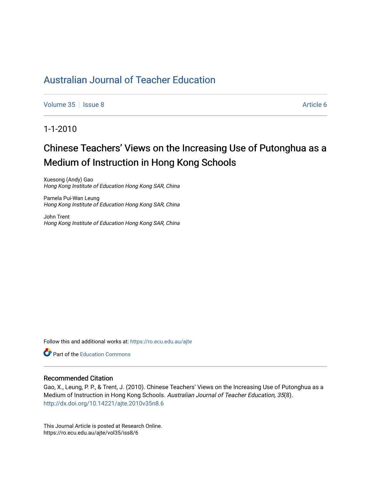[Volume 35](https://ro.ecu.edu.au/ajte/vol35) | [Issue 8](https://ro.ecu.edu.au/ajte/vol35/iss8) Article 6

# 1-1-2010

# Chinese Teachers' Views on the Increasing Use of Putonghua as a Medium of Instruction in Hong Kong Schools

Xuesong (Andy) Gao Hong Kong Institute of Education Hong Kong SAR, China

Pamela Pui-Wan Leung Hong Kong Institute of Education Hong Kong SAR, China

John Trent Hong Kong Institute of Education Hong Kong SAR, China

Follow this and additional works at: [https://ro.ecu.edu.au/ajte](https://ro.ecu.edu.au/ajte?utm_source=ro.ecu.edu.au%2Fajte%2Fvol35%2Fiss8%2F6&utm_medium=PDF&utm_campaign=PDFCoverPages) 

**Part of the Education Commons** 

#### Recommended Citation

Gao, X., Leung, P. P., & Trent, J. (2010). Chinese Teachers' Views on the Increasing Use of Putonghua as a Medium of Instruction in Hong Kong Schools. Australian Journal of Teacher Education, 35(8). <http://dx.doi.org/10.14221/ajte.2010v35n8.6>

This Journal Article is posted at Research Online. https://ro.ecu.edu.au/ajte/vol35/iss8/6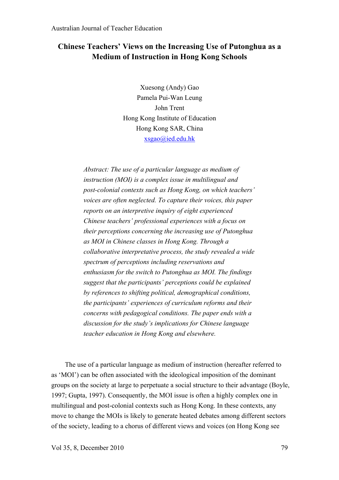# **Chinese Teachers' Views on the Increasing Use of Putonghua as a Medium of Instruction in Hong Kong Schools**

Xuesong (Andy) Gao Pamela Pui-Wan Leung John Trent Hong Kong Institute of Education Hong Kong SAR, China xsgao@ied.edu.hk

*Abstract: The use of a particular language as medium of instruction (MOI) is a complex issue in multilingual and post-colonial contexts such as Hong Kong, on which teachers' voices are often neglected. To capture their voices, this paper reports on an interpretive inquiry of eight experienced Chinese teachers' professional experiences with a focus on their perceptions concerning the increasing use of Putonghua as MOI in Chinese classes in Hong Kong. Through a collaborative interpretative process, the study revealed a wide spectrum of perceptions including reservations and enthusiasm for the switch to Putonghua as MOI. The findings suggest that the participants' perceptions could be explained by references to shifting political, demographical conditions, the participants' experiences of curriculum reforms and their concerns with pedagogical conditions. The paper ends with a discussion for the study's implications for Chinese language teacher education in Hong Kong and elsewhere.*

The use of a particular language as medium of instruction (hereafter referred to as 'MOI') can be often associated with the ideological imposition of the dominant groups on the society at large to perpetuate a social structure to their advantage (Boyle, 1997; Gupta, 1997). Consequently, the MOI issue is often a highly complex one in multilingual and post-colonial contexts such as Hong Kong. In these contexts, any move to change the MOIs is likely to generate heated debates among different sectors of the society, leading to a chorus of different views and voices (on Hong Kong see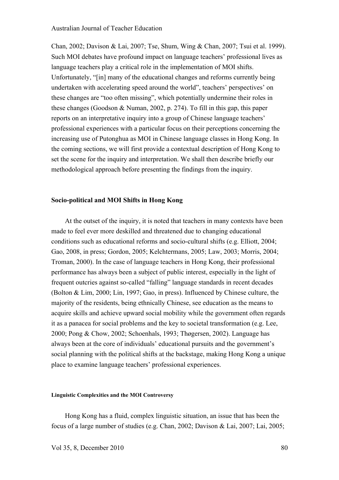Chan, 2002; Davison & Lai, 2007; Tse, Shum, Wing & Chan, 2007; Tsui et al. 1999). Such MOI debates have profound impact on language teachers' professional lives as language teachers play a critical role in the implementation of MOI shifts. Unfortunately, "[in] many of the educational changes and reforms currently being undertaken with accelerating speed around the world", teachers' perspectives' on these changes are "too often missing", which potentially undermine their roles in these changes (Goodson & Numan, 2002, p. 274). To fill in this gap, this paper reports on an interpretative inquiry into a group of Chinese language teachers' professional experiences with a particular focus on their perceptions concerning the increasing use of Putonghua as MOI in Chinese language classes in Hong Kong. In the coming sections, we will first provide a contextual description of Hong Kong to set the scene for the inquiry and interpretation. We shall then describe briefly our methodological approach before presenting the findings from the inquiry.

#### **Socio-political and MOI Shifts in Hong Kong**

At the outset of the inquiry, it is noted that teachers in many contexts have been made to feel ever more deskilled and threatened due to changing educational conditions such as educational reforms and socio-cultural shifts (e.g. Elliott, 2004; Gao, 2008, in press; Gordon, 2005; Kelchtermans, 2005; Law, 2003; Morris, 2004; Troman, 2000). In the case of language teachers in Hong Kong, their professional performance has always been a subject of public interest, especially in the light of frequent outcries against so-called "falling" language standards in recent decades (Bolton & Lim, 2000; Lin, 1997; Gao, in press). Influenced by Chinese culture, the majority of the residents, being ethnically Chinese, see education as the means to acquire skills and achieve upward social mobility while the government often regards it as a panacea for social problems and the key to societal transformation (e.g. Lee, 2000; Pong & Chow, 2002; Schoenhals, 1993; Thøgersen, 2002). Language has always been at the core of individuals' educational pursuits and the government's social planning with the political shifts at the backstage, making Hong Kong a unique place to examine language teachers' professional experiences.

#### **Linguistic Complexities and the MOI Controversy**

Hong Kong has a fluid, complex linguistic situation, an issue that has been the focus of a large number of studies (e.g. Chan, 2002; Davison & Lai, 2007; Lai, 2005;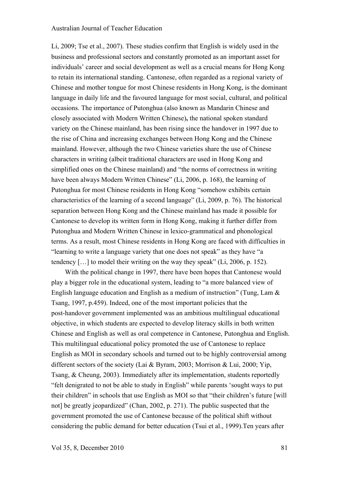Li, 2009; Tse et al., 2007). These studies confirm that English is widely used in the business and professional sectors and constantly promoted as an important asset for individuals' career and social development as well as a crucial means for Hong Kong to retain its international standing. Cantonese, often regarded as a regional variety of Chinese and mother tongue for most Chinese residents in Hong Kong, is the dominant language in daily life and the favoured language for most social, cultural, and political occasions. The importance of Putonghua (also known as Mandarin Chinese and closely associated with Modern Written Chinese)**,** the national spoken standard variety on the Chinese mainland, has been rising since the handover in 1997 due to the rise of China and increasing exchanges between Hong Kong and the Chinese mainland. However, although the two Chinese varieties share the use of Chinese characters in writing (albeit traditional characters are used in Hong Kong and simplified ones on the Chinese mainland) and "the norms of correctness in writing have been always Modern Written Chinese" (Li, 2006, p. 168), the learning of Putonghua for most Chinese residents in Hong Kong "somehow exhibits certain characteristics of the learning of a second language" (Li, 2009, p. 76). The historical separation between Hong Kong and the Chinese mainland has made it possible for Cantonese to develop its written form in Hong Kong, making it further differ from Putonghua and Modern Written Chinese in lexico-grammatical and phonological terms. As a result, most Chinese residents in Hong Kong are faced with difficulties in "learning to write a language variety that one does not speak" as they have "a tendency […] to model their writing on the way they speak" (Li, 2006, p. 152).

With the political change in 1997, there have been hopes that Cantonese would play a bigger role in the educational system, leading to "a more balanced view of English language education and English as a medium of instruction" (Tung, Lam & Tsang, 1997, p.459). Indeed, one of the most important policies that the post-handover government implemented was an ambitious multilingual educational objective, in which students are expected to develop literacy skills in both written Chinese and English as well as oral competence in Cantonese, Putonghua and English. This multilingual educational policy promoted the use of Cantonese to replace English as MOI in secondary schools and turned out to be highly controversial among different sectors of the society (Lai & Byram, 2003; Morrison & Lui, 2000; Yip, Tsang, & Cheung, 2003). Immediately after its implementation, students reportedly "felt denigrated to not be able to study in English" while parents 'sought ways to put their children" in schools that use English as MOI so that "their children's future [will not] be greatly jeopardized" (Chan, 2002, p. 271). The public suspected that the government promoted the use of Cantonese because of the political shift without considering the public demand for better education (Tsui et al., 1999).Ten years after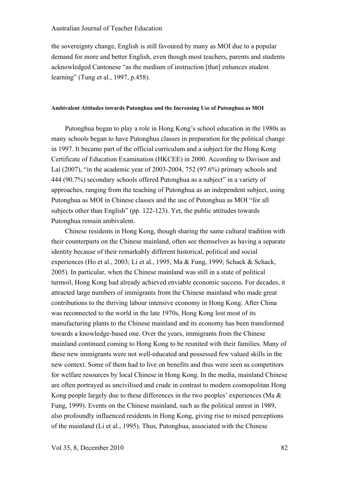the sovereignty change, English is still favoured by many as MOI due to a popular demand for more and better English, even though most teachers, parents and students acknowledged Cantonese "as the medium of instruction [that] enhances student learning" (Tung et al., 1997, p.458).

#### **Ambivalent Attitudes towards Putonghua and the Increasing Use of Putonghua as MOI**

Putonghua began to play a role in Hong Kong's school education in the 1980s as many schools began to have Putonghua classes in preparation for the political change in 1997. It became part of the official curriculum and a subject for the Hong Kong Certificate of Education Examination (HKCEE) in 2000. According to Davison and Lai (2007), "in the academic year of 2003-2004, 752 (97.6%) primary schools and 444 (90.7%) secondary schools offered Putonghua as a subject" in a variety of approaches, ranging from the teaching of Putonghua as an independent subject, using Putonghua as MOI in Chinese classes and the use of Putonghua as MOI "for all subjects other than English" (pp. 122-123). Yet, the public attitudes towards Putonghua remain ambivalent.

Chinese residents in Hong Kong, though sharing the same cultural tradition with their counterparts on the Chinese mainland, often see themselves as having a separate identity because of their remarkably different historical, political and social experiences (Ho et al., 2003; Li et al., 1995; Ma & Fung, 1999; Schack & Schack, 2005). In particular, when the Chinese mainland was still in a state of political turmoil, Hong Kong had already achieved enviable economic success. For decades, it attracted large numbers of immigrants from the Chinese mainland who made great contributions to the thriving labour intensive economy in Hong Kong. After China was reconnected to the world in the late 1970s, Hong Kong lost most of its manufacturing plants to the Chinese mainland and its economy has been transformed towards a knowledge-based one. Over the years, immigrants from the Chinese mainland continued coming to Hong Kong to be reunited with their families. Many of these new immigrants were not well-educated and possessed few valued skills in the new context. Some of them had to live on benefits and thus were seen as competitors for welfare resources by local Chinese in Hong Kong. In the media, mainland Chinese are often portrayed as uncivilised and crude in contrast to modern cosmopolitan Hong Kong people largely due to these differences in the two peoples' experiences (Ma & Fung, 1999). Events on the Chinese mainland, such as the political unrest in 1989, also profoundly influenced residents in Hong Kong, giving rise to mixed perceptions of the mainland (Li et al., 1995). Thus, Putonghua, associated with the Chinese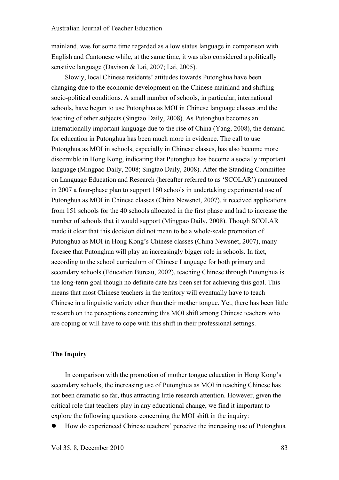mainland, was for some time regarded as a low status language in comparison with English and Cantonese while, at the same time, it was also considered a politically sensitive language (Davison & Lai, 2007; Lai, 2005).

Slowly, local Chinese residents' attitudes towards Putonghua have been changing due to the economic development on the Chinese mainland and shifting socio-political conditions. A small number of schools, in particular, international schools, have begun to use Putonghua as MOI in Chinese language classes and the teaching of other subjects (Singtao Daily, 2008). As Putonghua becomes an internationally important language due to the rise of China (Yang, 2008), the demand for education in Putonghua has been much more in evidence. The call to use Putonghua as MOI in schools, especially in Chinese classes, has also become more discernible in Hong Kong, indicating that Putonghua has become a socially important language (Mingpao Daily, 2008; Singtao Daily, 2008). After the Standing Committee on Language Education and Research (hereafter referred to as 'SCOLAR') announced in 2007 a four-phase plan to support 160 schools in undertaking experimental use of Putonghua as MOI in Chinese classes (China Newsnet, 2007), it received applications from 151 schools for the 40 schools allocated in the first phase and had to increase the number of schools that it would support (Mingpao Daily, 2008). Though SCOLAR made it clear that this decision did not mean to be a whole-scale promotion of Putonghua as MOI in Hong Kong's Chinese classes (China Newsnet, 2007), many foresee that Putonghua will play an increasingly bigger role in schools. In fact, according to the school curriculum of Chinese Language for both primary and secondary schools (Education Bureau, 2002), teaching Chinese through Putonghua is the long-term goal though no definite date has been set for achieving this goal. This means that most Chinese teachers in the territory will eventually have to teach Chinese in a linguistic variety other than their mother tongue. Yet, there has been little research on the perceptions concerning this MOI shift among Chinese teachers who are coping or will have to cope with this shift in their professional settings.

#### **The Inquiry**

In comparison with the promotion of mother tongue education in Hong Kong's secondary schools, the increasing use of Putonghua as MOI in teaching Chinese has not been dramatic so far, thus attracting little research attention. However, given the critical role that teachers play in any educational change, we find it important to explore the following questions concerning the MOI shift in the inquiry:

How do experienced Chinese teachers' perceive the increasing use of Putonghua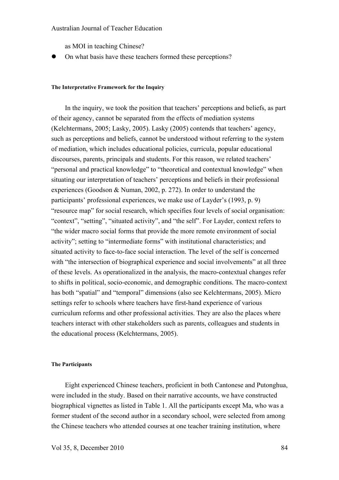as MOI in teaching Chinese?

On what basis have these teachers formed these perceptions?

#### **The Interpretative Framework for the Inquiry**

In the inquiry, we took the position that teachers' perceptions and beliefs, as part of their agency, cannot be separated from the effects of mediation systems (Kelchtermans, 2005; Lasky, 2005). Lasky (2005) contends that teachers' agency, such as perceptions and beliefs, cannot be understood without referring to the system of mediation, which includes educational policies, curricula, popular educational discourses, parents, principals and students. For this reason, we related teachers' "personal and practical knowledge" to "theoretical and contextual knowledge" when situating our interpretation of teachers' perceptions and beliefs in their professional experiences (Goodson & Numan, 2002, p. 272). In order to understand the participants' professional experiences, we make use of Layder's (1993, p. 9) "resource map" for social research, which specifies four levels of social organisation: "context", "setting", "situated activity", and "the self". For Layder, context refers to "the wider macro social forms that provide the more remote environment of social activity"; setting to "intermediate forms" with institutional characteristics; and situated activity to face-to-face social interaction. The level of the self is concerned with "the intersection of biographical experience and social involvements" at all three of these levels. As operationalized in the analysis, the macro-contextual changes refer to shifts in political, socio-economic, and demographic conditions. The macro-context has both "spatial" and "temporal" dimensions (also see Kelchtermans, 2005). Micro settings refer to schools where teachers have first-hand experience of various curriculum reforms and other professional activities. They are also the places where teachers interact with other stakeholders such as parents, colleagues and students in the educational process (Kelchtermans, 2005).

#### **The Participants**

Eight experienced Chinese teachers, proficient in both Cantonese and Putonghua, were included in the study. Based on their narrative accounts, we have constructed biographical vignettes as listed in Table 1. All the participants except Ma, who was a former student of the second author in a secondary school, were selected from among the Chinese teachers who attended courses at one teacher training institution, where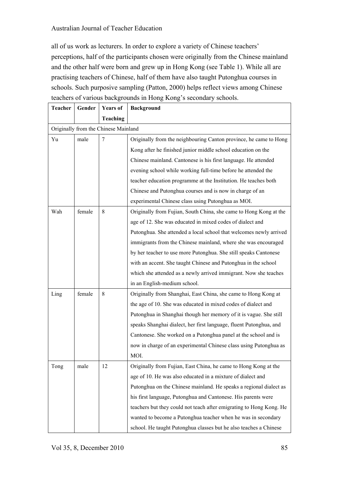all of us work as lecturers. In order to explore a variety of Chinese teachers' perceptions, half of the participants chosen were originally from the Chinese mainland and the other half were born and grew up in Hong Kong (see Table 1). While all are practising teachers of Chinese, half of them have also taught Putonghua courses in schools. Such purposive sampling (Patton, 2000) helps reflect views among Chinese teachers of various backgrounds in Hong Kong's secondary schools.

| <b>Teacher</b> | Gender | <b>Years of</b>                      | <b>Background</b>                                                   |
|----------------|--------|--------------------------------------|---------------------------------------------------------------------|
|                |        | <b>Teaching</b>                      |                                                                     |
|                |        | Originally from the Chinese Mainland |                                                                     |
| Yu             | male   | $\overline{7}$                       | Originally from the neighbouring Canton province, he came to Hong   |
|                |        |                                      | Kong after he finished junior middle school education on the        |
|                |        |                                      | Chinese mainland. Cantonese is his first language. He attended      |
|                |        |                                      | evening school while working full-time before he attended the       |
|                |        |                                      | teacher education programme at the Institution. He teaches both     |
|                |        |                                      | Chinese and Putonghua courses and is now in charge of an            |
|                |        |                                      | experimental Chinese class using Putonghua as MOI.                  |
| Wah            | female | 8                                    | Originally from Fujian, South China, she came to Hong Kong at the   |
|                |        |                                      | age of 12. She was educated in mixed codes of dialect and           |
|                |        |                                      | Putonghua. She attended a local school that welcomes newly arrived  |
|                |        |                                      | immigrants from the Chinese mainland, where she was encouraged      |
|                |        |                                      | by her teacher to use more Putonghua. She still speaks Cantonese    |
|                |        |                                      | with an accent. She taught Chinese and Putonghua in the school      |
|                |        |                                      | which she attended as a newly arrived immigrant. Now she teaches    |
|                |        |                                      | in an English-medium school.                                        |
| Ling           | female | 8                                    | Originally from Shanghai, East China, she came to Hong Kong at      |
|                |        |                                      | the age of 10. She was educated in mixed codes of dialect and       |
|                |        |                                      | Putonghua in Shanghai though her memory of it is vague. She still   |
|                |        |                                      | speaks Shanghai dialect, her first language, fluent Putonghua, and  |
|                |        |                                      | Cantonese. She worked on a Putonghua panel at the school and is     |
|                |        |                                      | now in charge of an experimental Chinese class using Putonghua as   |
|                |        |                                      | MOI.                                                                |
| Tong           | male   | 12                                   | Originally from Fujian, East China, he came to Hong Kong at the     |
|                |        |                                      | age of 10. He was also educated in a mixture of dialect and         |
|                |        |                                      | Putonghua on the Chinese mainland. He speaks a regional dialect as  |
|                |        |                                      | his first language, Putonghua and Cantonese. His parents were       |
|                |        |                                      | teachers but they could not teach after emigrating to Hong Kong. He |
|                |        |                                      | wanted to become a Putonghua teacher when he was in secondary       |
|                |        |                                      | school. He taught Putonghua classes but he also teaches a Chinese   |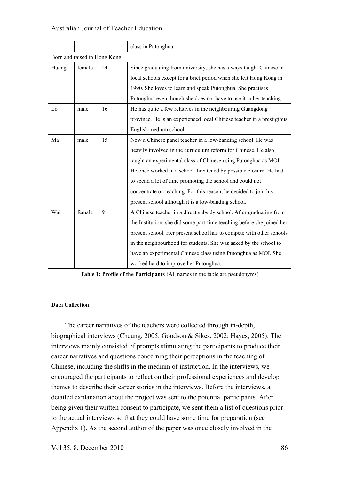|       |                              |    | class in Putonghua.                                                    |  |  |  |  |
|-------|------------------------------|----|------------------------------------------------------------------------|--|--|--|--|
|       |                              |    |                                                                        |  |  |  |  |
|       | Born and raised in Hong Kong |    |                                                                        |  |  |  |  |
| Huang | female                       | 24 | Since graduating from university, she has always taught Chinese in     |  |  |  |  |
|       |                              |    | local schools except for a brief period when she left Hong Kong in     |  |  |  |  |
|       |                              |    | 1990. She loves to learn and speak Putonghua. She practises            |  |  |  |  |
|       |                              |    | Putonghua even though she does not have to use it in her teaching.     |  |  |  |  |
| Lo    | male                         | 16 | He has quite a few relatives in the neighbouring Guangdong             |  |  |  |  |
|       |                              |    | province. He is an experienced local Chinese teacher in a prestigious  |  |  |  |  |
|       |                              |    | English medium school.                                                 |  |  |  |  |
| Ma    | male                         | 15 | Now a Chinese panel teacher in a low-banding school. He was            |  |  |  |  |
|       |                              |    | heavily involved in the curriculum reform for Chinese. He also         |  |  |  |  |
|       |                              |    | taught an experimental class of Chinese using Putonghua as MOI.        |  |  |  |  |
|       |                              |    | He once worked in a school threatened by possible closure. He had      |  |  |  |  |
|       |                              |    | to spend a lot of time promoting the school and could not              |  |  |  |  |
|       |                              |    | concentrate on teaching. For this reason, he decided to join his       |  |  |  |  |
|       |                              |    | present school although it is a low-banding school.                    |  |  |  |  |
| Wai   | female                       | 9  | A Chinese teacher in a direct subsidy school. After graduating from    |  |  |  |  |
|       |                              |    | the Institution, she did some part-time teaching before she joined her |  |  |  |  |
|       |                              |    | present school. Her present school has to compete with other schools   |  |  |  |  |
|       |                              |    | in the neighbourhood for students. She was asked by the school to      |  |  |  |  |
|       |                              |    | have an experimental Chinese class using Putonghua as MOI. She         |  |  |  |  |
|       |                              |    | worked hard to improve her Putonghua.                                  |  |  |  |  |

**Table 1: Profile of the Participants** (All names in the table are pseudonyms)

#### **Data Collection**

The career narratives of the teachers were collected through in-depth, biographical interviews (Cheung, 2005; Goodson & Sikes, 2002; Hayes, 2005). The interviews mainly consisted of prompts stimulating the participants to produce their career narratives and questions concerning their perceptions in the teaching of Chinese, including the shifts in the medium of instruction. In the interviews, we encouraged the participants to reflect on their professional experiences and develop themes to describe their career stories in the interviews. Before the interviews, a detailed explanation about the project was sent to the potential participants. After being given their written consent to participate, we sent them a list of questions prior to the actual interviews so that they could have some time for preparation (see Appendix 1). As the second author of the paper was once closely involved in the

Vol 35, 8, December 2010 86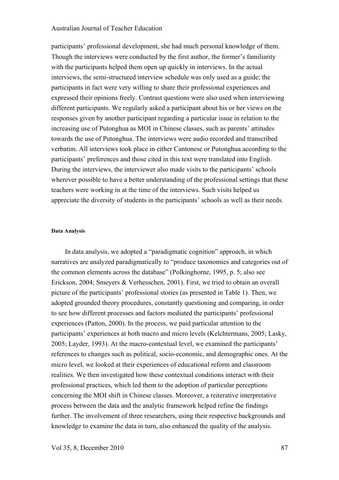participants' professional development, she had much personal knowledge of them. Though the interviews were conducted by the first author, the former's familiarity with the participants helped them open up quickly in interviews. In the actual interviews, the semi-structured interview schedule was only used as a guide; the participants in fact were very willing to share their professional experiences and expressed their opinions freely. Contrast questions were also used when interviewing different participants. We regularly asked a participant about his or her views on the responses given by another participant regarding a particular issue in relation to the increasing use of Putonghua as MOI in Chinese classes, such as parents' attitudes towards the use of Putonghua. The interviews were audio recorded and transcribed verbatim. All interviews took place in either Cantonese or Putonghua according to the participants' preferences and those cited in this text were translated into English. During the interviews, the interviewer also made visits to the participants' schools wherever possible to have a better understanding of the professional settings that these teachers were working in at the time of the interviews. Such visits helped us appreciate the diversity of students in the participants' schools as well as their needs.

#### **Data Analysis**

In data analysis, we adopted a "paradigmatic cognition" approach, in which narratives are analyzed paradigmatically to "produce taxonomies and categories out of the common elements across the database" (Polkinghorne, 1995, p. 5; also see Erickson, 2004; Smeyers & Verhesschen, 2001). First, we tried to obtain an overall picture of the participants' professional stories (as presented in Table 1). Then, we adopted grounded theory procedures, constantly questioning and comparing, in order to see how different processes and factors mediated the participants' professional experiences (Patton, 2000). In the process, we paid particular attention to the participants' experiences at both macro and micro levels (Kelchtermans, 2005; Lasky, 2005; Layder, 1993). At the macro-contextual level, we examined the participants' references to changes such as political, socio-economic, and demographic ones. At the micro level, we looked at their experiences of educational reform and classroom realities. We then investigated how these contextual conditions interact with their professional practices, which led them to the adoption of particular perceptions concerning the MOI shift in Chinese classes. Moreover, a reiterative interpretative process between the data and the analytic framework helped refine the findings further. The involvement of three researchers, using their respective backgrounds and knowledge to examine the data in turn, also enhanced the quality of the analysis.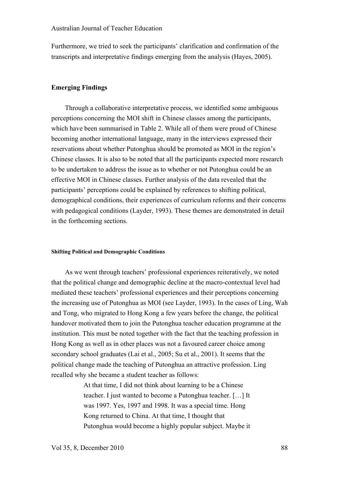Furthermore, we tried to seek the participants' clarification and confirmation of the transcripts and interpretative findings emerging from the analysis (Hayes, 2005).

#### **Emerging Findings**

Through a collaborative interpretative process, we identified some ambiguous perceptions concerning the MOI shift in Chinese classes among the participants, which have been summarised in Table 2. While all of them were proud of Chinese becoming another international language, many in the interviews expressed their reservations about whether Putonghua should be promoted as MOI in the region's Chinese classes. It is also to be noted that all the participants expected more research to be undertaken to address the issue as to whether or not Putonghua could be an effective MOI in Chinese classes. Further analysis of the data revealed that the participants' perceptions could be explained by references to shifting political, demographical conditions, their experiences of curriculum reforms and their concerns with pedagogical conditions (Layder, 1993). These themes are demonstrated in detail in the forthcoming sections.

#### **Shifting Political and Demographic Conditions**

As we went through teachers' professional experiences reiteratively, we noted that the political change and demographic decline at the macro-contextual level had mediated these teachers' professional experiences and their perceptions concerning the increasing use of Putonghua as MOI (see Layder, 1993). In the cases of Ling, Wah and Tong, who migrated to Hong Kong a few years before the change, the political handover motivated them to join the Putonghua teacher education programme at the institution. This must be noted together with the fact that the teaching profession in Hong Kong as well as in other places was not a favoured career choice among secondary school graduates (Lai et al., 2005; Su et al., 2001). It seems that the political change made the teaching of Putonghua an attractive profession. Ling recalled why she became a student teacher as follows:

> At that time, I did not think about learning to be a Chinese teacher. I just wanted to become a Putonghua teacher. […] It was 1997. Yes, 1997 and 1998. It was a special time. Hong Kong returned to China. At that time, I thought that Putonghua would become a highly popular subject. Maybe it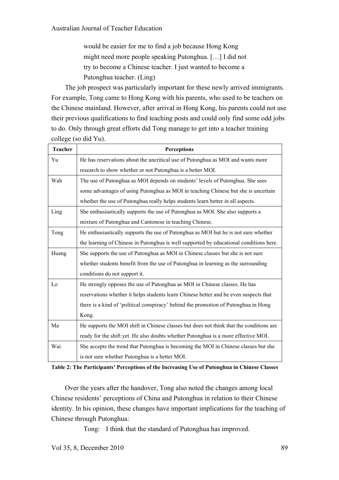would be easier for me to find a job because Hong Kong might need more people speaking Putonghua. […] I did not try to become a Chinese teacher. I just wanted to become a Putonghua teacher. (Ling)

The job prospect was particularly important for these newly arrived immigrants. For example, Tong came to Hong Kong with his parents, who used to be teachers on the Chinese mainland. However, after arrival in Hong Kong, his parents could not use their previous qualifications to find teaching posts and could only find some odd jobs to do. Only through great efforts did Tong manage to get into a teacher training college (so did Yu).

| <b>Teacher</b> | <b>Perceptions</b>                                                                      |  |  |  |
|----------------|-----------------------------------------------------------------------------------------|--|--|--|
| Yu             | He has reservations about the uncritical use of Putonghua as MOI and wants more         |  |  |  |
|                | research to show whether or not Putonghua is a better MOI.                              |  |  |  |
| Wah            | The use of Putonghua as MOI depends on students' levels of Putonghua. She sees          |  |  |  |
|                | some advantages of using Putonghua as MOI in teaching Chinese but she is uncertain      |  |  |  |
|                | whether the use of Putonghua really helps students learn better in all aspects.         |  |  |  |
| Ling           | She enthusiastically supports the use of Putonghua as MOI. She also supports a          |  |  |  |
|                | mixture of Putonghua and Cantonese in teaching Chinese.                                 |  |  |  |
| Tong           | He enthusiastically supports the use of Putonghua as MOI but he is not sure whether     |  |  |  |
|                | the learning of Chinese in Putonghua is well supported by educational conditions here.  |  |  |  |
| Huang          | She supports the use of Putonghua as MOI in Chinese classes but she is not sure         |  |  |  |
|                | whether students benefit from the use of Putonghua in learning as the surrounding       |  |  |  |
|                | conditions do not support it.                                                           |  |  |  |
| Lo             | He strongly opposes the use of Putonghua as MOI in Chinese classes. He has              |  |  |  |
|                | reservations whether it helps students learn Chinese better and he even suspects that   |  |  |  |
|                | there is a kind of 'political conspiracy' behind the promotion of Putonghua in Hong     |  |  |  |
|                | Kong.                                                                                   |  |  |  |
| Ma             | He supports the MOI shift in Chinese classes but does not think that the conditions are |  |  |  |
|                | ready for the shift yet. He also doubts whether Putonghua is a more effective MOI.      |  |  |  |
| Wai            | She accepts the trend that Putonghua is becoming the MOI in Chinese classes but she     |  |  |  |
|                | is not sure whether Putonghua is a better MOI.                                          |  |  |  |

**Table 2: The Participants' Perceptions of the Increasing Use of Putonghua in Chinese Classes**

Over the years after the handover, Tong also noted the changes among local Chinese residents' perceptions of China and Putonghua in relation to their Chinese identity. In his opinion, these changes have important implications for the teaching of Chinese through Putonghua:

Tong: I think that the standard of Putonghua has improved.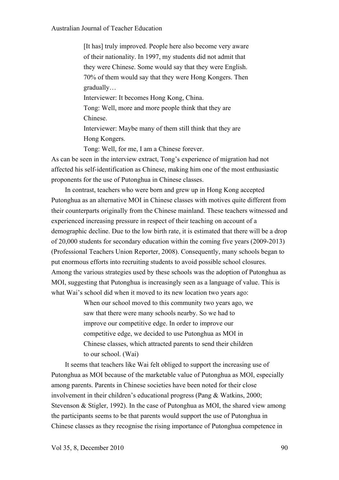[It has] truly improved. People here also become very aware of their nationality. In 1997, my students did not admit that they were Chinese. Some would say that they were English. 70% of them would say that they were Hong Kongers. Then gradually… Interviewer: It becomes Hong Kong, China. Tong: Well, more and more people think that they are Chinese. Interviewer: Maybe many of them still think that they are Hong Kongers. Tong: Well, for me, I am a Chinese forever.

As can be seen in the interview extract, Tong's experience of migration had not affected his self-identification as Chinese, making him one of the most enthusiastic proponents for the use of Putonghua in Chinese classes.

In contrast, teachers who were born and grew up in Hong Kong accepted Putonghua as an alternative MOI in Chinese classes with motives quite different from their counterparts originally from the Chinese mainland. These teachers witnessed and experienced increasing pressure in respect of their teaching on account of a demographic decline. Due to the low birth rate, it is estimated that there will be a drop of 20,000 students for secondary education within the coming five years (2009-2013) (Professional Teachers Union Reporter, 2008). Consequently, many schools began to put enormous efforts into recruiting students to avoid possible school closures. Among the various strategies used by these schools was the adoption of Putonghua as MOI, suggesting that Putonghua is increasingly seen as a language of value. This is what Wai's school did when it moved to its new location two years ago:

> When our school moved to this community two years ago, we saw that there were many schools nearby. So we had to improve our competitive edge. In order to improve our competitive edge, we decided to use Putonghua as MOI in Chinese classes, which attracted parents to send their children to our school. (Wai)

It seems that teachers like Wai felt obliged to support the increasing use of Putonghua as MOI because of the marketable value of Putonghua as MOI, especially among parents. Parents in Chinese societies have been noted for their close involvement in their children's educational progress (Pang & Watkins, 2000; Stevenson & Stigler, 1992). In the case of Putonghua as MOI, the shared view among the participants seems to be that parents would support the use of Putonghua in Chinese classes as they recognise the rising importance of Putonghua competence in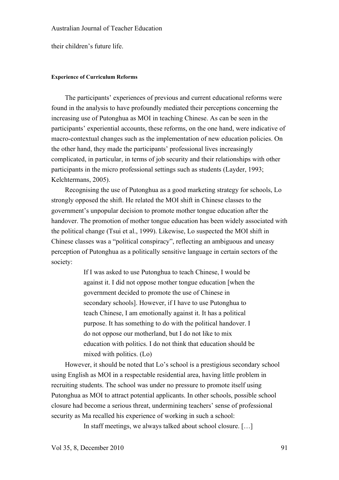their children's future life.

#### **Experience of Curriculum Reforms**

The participants' experiences of previous and current educational reforms were found in the analysis to have profoundly mediated their perceptions concerning the increasing use of Putonghua as MOI in teaching Chinese. As can be seen in the participants' experiential accounts, these reforms, on the one hand, were indicative of macro-contextual changes such as the implementation of new education policies. On the other hand, they made the participants' professional lives increasingly complicated, in particular, in terms of job security and their relationships with other participants in the micro professional settings such as students (Layder, 1993; Kelchtermans, 2005).

Recognising the use of Putonghua as a good marketing strategy for schools, Lo strongly opposed the shift. He related the MOI shift in Chinese classes to the government's unpopular decision to promote mother tongue education after the handover. The promotion of mother tongue education has been widely associated with the political change (Tsui et al., 1999). Likewise, Lo suspected the MOI shift in Chinese classes was a "political conspiracy", reflecting an ambiguous and uneasy perception of Putonghua as a politically sensitive language in certain sectors of the society:

> If I was asked to use Putonghua to teach Chinese, I would be against it. I did not oppose mother tongue education [when the government decided to promote the use of Chinese in secondary schools]. However, if I have to use Putonghua to teach Chinese, I am emotionally against it. It has a political purpose. It has something to do with the political handover. I do not oppose our motherland, but I do not like to mix education with politics. I do not think that education should be mixed with politics. (Lo)

However, it should be noted that Lo's school is a prestigious secondary school using English as MOI in a respectable residential area, having little problem in recruiting students. The school was under no pressure to promote itself using Putonghua as MOI to attract potential applicants. In other schools, possible school closure had become a serious threat, undermining teachers' sense of professional security as Ma recalled his experience of working in such a school:

In staff meetings, we always talked about school closure. […]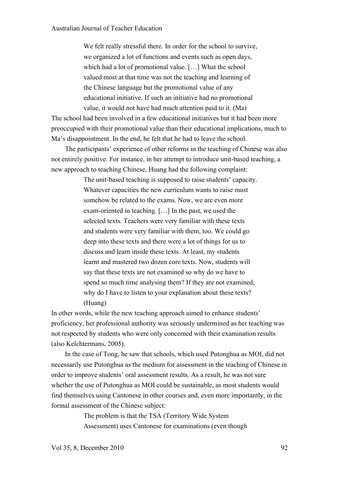We felt really stressful there. In order for the school to survive, we organized a lot of functions and events such as open days, which had a lot of promotional value. […] What the school valued most at that time was not the teaching and learning of the Chinese language but the promotional value of any educational initiative. If such an initiative had no promotional value, it would not have had much attention paid to it. (Ma)

The school had been involved in a few educational initiatives but it had been more preoccupied with their promotional value than their educational implications, much to Ma's disappointment. In the end, he felt that he had to leave the school.

The participants' experience of other reforms in the teaching of Chinese was also not entirely positive. For instance, in her attempt to introduce unit-based teaching, a new approach to teaching Chinese, Huang had the following complaint:

> The unit-based teaching is supposed to raise students' capacity. Whatever capacities the new curriculum wants to raise must somehow be related to the exams. Now, we are even more exam-oriented in teaching. […] In the past, we used the selected texts. Teachers were very familiar with these texts and students were very familiar with them, too. We could go deep into these texts and there were a lot of things for us to discuss and learn inside these texts. At least, my students learnt and mastered two dozen core texts. Now, students will say that these texts are not examined so why do we have to spend so much time analysing them? If they are not examined, why do I have to listen to your explanation about these texts? (Huang)

In other words, while the new teaching approach aimed to enhance students' proficiency, her professional authority was seriously undermined as her teaching was not respected by students who were only concerned with their examination results (also Kelchtermans, 2005).

In the case of Tong, he saw that schools, which used Putonghua as MOI, did not necessarily use Putonghua as the medium for assessment in the teaching of Chinese in order to improve students' oral assessment results. As a result, he was not sure whether the use of Putonghua as MOI could be sustainable, as most students would find themselves using Cantonese in other courses and, even more importantly, in the formal assessment of the Chinese subject:

> The problem is that the TSA (Territory Wide System Assessment) uses Cantonese for examinations (even though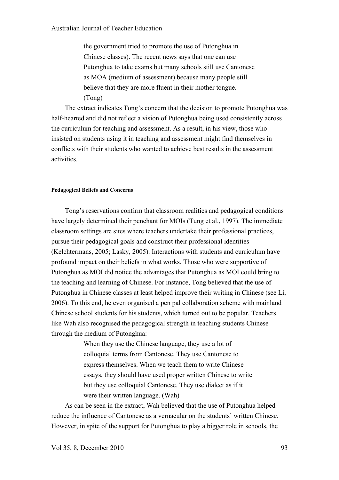the government tried to promote the use of Putonghua in Chinese classes). The recent news says that one can use Putonghua to take exams but many schools still use Cantonese as MOA (medium of assessment) because many people still believe that they are more fluent in their mother tongue. (Tong)

The extract indicates Tong's concern that the decision to promote Putonghua was half-hearted and did not reflect a vision of Putonghua being used consistently across the curriculum for teaching and assessment. As a result, in his view, those who insisted on students using it in teaching and assessment might find themselves in conflicts with their students who wanted to achieve best results in the assessment activities.

#### **Pedagogical Beliefs and Concerns**

Tong's reservations confirm that classroom realities and pedagogical conditions have largely determined their penchant for MOIs (Tung et al., 1997). The immediate classroom settings are sites where teachers undertake their professional practices, pursue their pedagogical goals and construct their professional identities (Kelchtermans, 2005; Lasky, 2005). Interactions with students and curriculum have profound impact on their beliefs in what works. Those who were supportive of Putonghua as MOI did notice the advantages that Putonghua as MOI could bring to the teaching and learning of Chinese. For instance, Tong believed that the use of Putonghua in Chinese classes at least helped improve their writing in Chinese (see Li, 2006). To this end, he even organised a pen pal collaboration scheme with mainland Chinese school students for his students, which turned out to be popular. Teachers like Wah also recognised the pedagogical strength in teaching students Chinese through the medium of Putonghua:

> When they use the Chinese language, they use a lot of colloquial terms from Cantonese. They use Cantonese to express themselves. When we teach them to write Chinese essays, they should have used proper written Chinese to write but they use colloquial Cantonese. They use dialect as if it were their written language. (Wah)

As can be seen in the extract, Wah believed that the use of Putonghua helped reduce the influence of Cantonese as a vernacular on the students' written Chinese. However, in spite of the support for Putonghua to play a bigger role in schools, the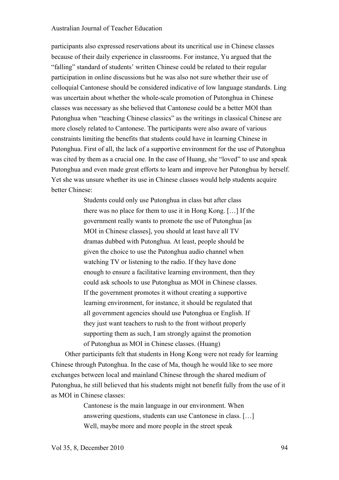participants also expressed reservations about its uncritical use in Chinese classes because of their daily experience in classrooms. For instance, Yu argued that the "falling" standard of students' written Chinese could be related to their regular participation in online discussions but he was also not sure whether their use of colloquial Cantonese should be considered indicative of low language standards. Ling was uncertain about whether the whole-scale promotion of Putonghua in Chinese classes was necessary as she believed that Cantonese could be a better MOI than Putonghua when "teaching Chinese classics" as the writings in classical Chinese are more closely related to Cantonese. The participants were also aware of various constraints limiting the benefits that students could have in learning Chinese in Putonghua. First of all, the lack of a supportive environment for the use of Putonghua was cited by them as a crucial one. In the case of Huang, she "loved" to use and speak Putonghua and even made great efforts to learn and improve her Putonghua by herself. Yet she was unsure whether its use in Chinese classes would help students acquire better Chinese:

> Students could only use Putonghua in class but after class there was no place for them to use it in Hong Kong. […] If the government really wants to promote the use of Putonghua [as MOI in Chinese classes], you should at least have all TV dramas dubbed with Putonghua. At least, people should be given the choice to use the Putonghua audio channel when watching TV or listening to the radio. If they have done enough to ensure a facilitative learning environment, then they could ask schools to use Putonghua as MOI in Chinese classes. If the government promotes it without creating a supportive learning environment, for instance, it should be regulated that all government agencies should use Putonghua or English. If they just want teachers to rush to the front without properly supporting them as such, I am strongly against the promotion of Putonghua as MOI in Chinese classes. (Huang)

Other participants felt that students in Hong Kong were not ready for learning Chinese through Putonghua. In the case of Ma, though he would like to see more exchanges between local and mainland Chinese through the shared medium of Putonghua, he still believed that his students might not benefit fully from the use of it as MOI in Chinese classes:

> Cantonese is the main language in our environment. When answering questions, students can use Cantonese in class. […] Well, maybe more and more people in the street speak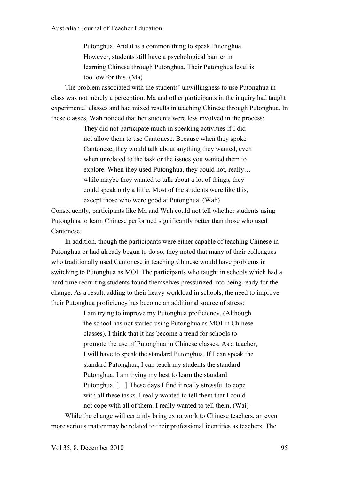Putonghua. And it is a common thing to speak Putonghua. However, students still have a psychological barrier in learning Chinese through Putonghua. Their Putonghua level is too low for this. (Ma)

The problem associated with the students' unwillingness to use Putonghua in class was not merely a perception. Ma and other participants in the inquiry had taught experimental classes and had mixed results in teaching Chinese through Putonghua. In these classes, Wah noticed that her students were less involved in the process:

> They did not participate much in speaking activities if I did not allow them to use Cantonese. Because when they spoke Cantonese, they would talk about anything they wanted, even when unrelated to the task or the issues you wanted them to explore. When they used Putonghua, they could not, really… while maybe they wanted to talk about a lot of things, they could speak only a little. Most of the students were like this, except those who were good at Putonghua. (Wah)

Consequently, participants like Ma and Wah could not tell whether students using Putonghua to learn Chinese performed significantly better than those who used Cantonese.

In addition, though the participants were either capable of teaching Chinese in Putonghua or had already begun to do so, they noted that many of their colleagues who traditionally used Cantonese in teaching Chinese would have problems in switching to Putonghua as MOI. The participants who taught in schools which had a hard time recruiting students found themselves pressurized into being ready for the change. As a result, adding to their heavy workload in schools, the need to improve their Putonghua proficiency has become an additional source of stress:

> I am trying to improve my Putonghua proficiency. (Although the school has not started using Putonghua as MOI in Chinese classes), I think that it has become a trend for schools to promote the use of Putonghua in Chinese classes. As a teacher, I will have to speak the standard Putonghua. If I can speak the standard Putonghua, I can teach my students the standard Putonghua. I am trying my best to learn the standard Putonghua. […] These days I find it really stressful to cope with all these tasks. I really wanted to tell them that I could not cope with all of them. I really wanted to tell them. (Wai)

While the change will certainly bring extra work to Chinese teachers, an even more serious matter may be related to their professional identities as teachers. The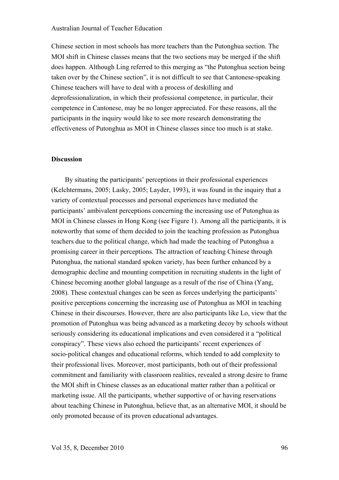Chinese section in most schools has more teachers than the Putonghua section. The MOI shift in Chinese classes means that the two sections may be merged if the shift does happen. Although Ling referred to this merging as "the Putonghua section being taken over by the Chinese section", it is not difficult to see that Cantonese-speaking Chinese teachers will have to deal with a process of deskilling and deprofessionalization, in which their professional competence, in particular, their competence in Cantonese, may be no longer appreciated. For these reasons, all the participants in the inquiry would like to see more research demonstrating the effectiveness of Putonghua as MOI in Chinese classes since too much is at stake.

# **Discussion**

By situating the participants' perceptions in their professional experiences (Kelchtermans, 2005; Lasky, 2005; Layder, 1993), it was found in the inquiry that a variety of contextual processes and personal experiences have mediated the participants' ambivalent perceptions concerning the increasing use of Putonghua as MOI in Chinese classes in Hong Kong (see Figure 1). Among all the participants, it is noteworthy that some of them decided to join the teaching profession as Putonghua teachers due to the political change, which had made the teaching of Putonghua a promising career in their perceptions. The attraction of teaching Chinese through Putonghua, the national standard spoken variety, has been further enhanced by a demographic decline and mounting competition in recruiting students in the light of Chinese becoming another global language as a result of the rise of China (Yang, 2008). These contextual changes can be seen as forces underlying the participants' positive perceptions concerning the increasing use of Putonghua as MOI in teaching Chinese in their discourses. However, there are also participants like Lo, view that the promotion of Putonghua was being advanced as a marketing decoy by schools without seriously considering its educational implications and even considered it a "political conspiracy". These views also echoed the participants' recent experiences of socio-political changes and educational reforms, which tended to add complexity to their professional lives. Moreover, most participants, both out of their professional commitment and familiarity with classroom realities, revealed a strong desire to frame the MOI shift in Chinese classes as an educational matter rather than a political or marketing issue. All the participants, whether supportive of or having reservations about teaching Chinese in Putonghua, believe that, as an alternative MOI, it should be only promoted because of its proven educational advantages.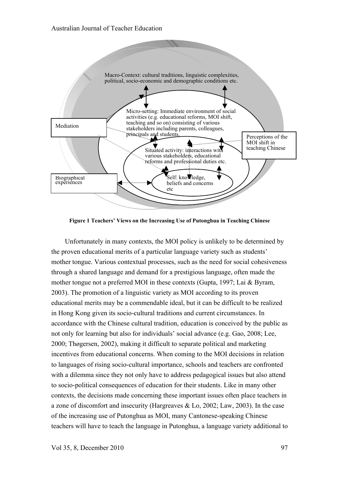

**Figure 1 Teachers' Views on the Increasing Use of Putonghua in Teaching Chinese**

Unfortunately in many contexts, the MOI policy is unlikely to be determined by the proven educational merits of a particular language variety such as students' mother tongue. Various contextual processes, such as the need for social cohesiveness through a shared language and demand for a prestigious language, often made the mother tongue not a preferred MOI in these contexts (Gupta, 1997; Lai & Byram, 2003). The promotion of a linguistic variety as MOI according to its proven educational merits may be a commendable ideal, but it can be difficult to be realized in Hong Kong given its socio-cultural traditions and current circumstances. In accordance with the Chinese cultural tradition, education is conceived by the public as not only for learning but also for individuals' social advance (e.g. Gao, 2008; Lee, 2000; Thøgersen, 2002), making it difficult to separate political and marketing incentives from educational concerns. When coming to the MOI decisions in relation to languages of rising socio-cultural importance, schools and teachers are confronted with a dilemma since they not only have to address pedagogical issues but also attend to socio-political consequences of education for their students. Like in many other contexts, the decisions made concerning these important issues often place teachers in a zone of discomfort and insecurity (Hargreaves & Lo, 2002; Law, 2003). In the case of the increasing use of Putonghua as MOI, many Cantonese-speaking Chinese teachers will have to teach the language in Putonghua, a language variety additional to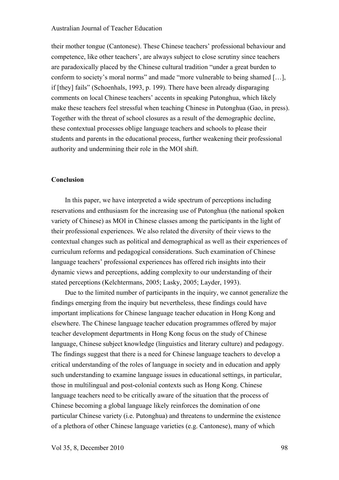their mother tongue (Cantonese). These Chinese teachers' professional behaviour and competence, like other teachers', are always subject to close scrutiny since teachers are paradoxically placed by the Chinese cultural tradition "under a great burden to conform to society's moral norms" and made "more vulnerable to being shamed […], if [they] fails" (Schoenhals, 1993, p. 199). There have been already disparaging comments on local Chinese teachers' accents in speaking Putonghua, which likely make these teachers feel stressful when teaching Chinese in Putonghua (Gao, in press). Together with the threat of school closures as a result of the demographic decline, these contextual processes oblige language teachers and schools to please their students and parents in the educational process, further weakening their professional authority and undermining their role in the MOI shift.

#### **Conclusion**

In this paper, we have interpreted a wide spectrum of perceptions including reservations and enthusiasm for the increasing use of Putonghua (the national spoken variety of Chinese) as MOI in Chinese classes among the participants in the light of their professional experiences. We also related the diversity of their views to the contextual changes such as political and demographical as well as their experiences of curriculum reforms and pedagogical considerations. Such examination of Chinese language teachers' professional experiences has offered rich insights into their dynamic views and perceptions, adding complexity to our understanding of their stated perceptions (Kelchtermans, 2005; Lasky, 2005; Layder, 1993).

Due to the limited number of participants in the inquiry, we cannot generalize the findings emerging from the inquiry but nevertheless, these findings could have important implications for Chinese language teacher education in Hong Kong and elsewhere. The Chinese language teacher education programmes offered by major teacher development departments in Hong Kong focus on the study of Chinese language, Chinese subject knowledge (linguistics and literary culture) and pedagogy. The findings suggest that there is a need for Chinese language teachers to develop a critical understanding of the roles of language in society and in education and apply such understanding to examine language issues in educational settings, in particular, those in multilingual and post-colonial contexts such as Hong Kong. Chinese language teachers need to be critically aware of the situation that the process of Chinese becoming a global language likely reinforces the domination of one particular Chinese variety (i.e. Putonghua) and threatens to undermine the existence of a plethora of other Chinese language varieties (e.g. Cantonese), many of which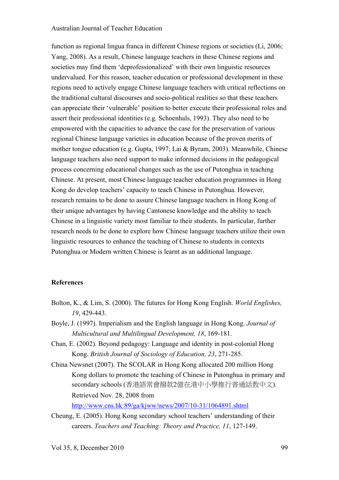function as regional lingua franca in different Chinese regions or societies (Li, 2006; Yang, 2008). As a result, Chinese language teachers in these Chinese regions and societies may find them 'deprofessionalized' with their own linguistic resources undervalued. For this reason, teacher education or professional development in these regions need to actively engage Chinese language teachers with critical reflections on the traditional cultural discourses and socio-political realities so that these teachers can appreciate their 'vulnerable' position to better execute their professional roles and assert their professional identities (e.g. Schoenhals, 1993). They also need to be empowered with the capacities to advance the case for the preservation of various regional Chinese language varieties in education because of the proven merits of mother tongue education (e.g. Gupta, 1997; Lai & Byram, 2003). Meanwhile, Chinese language teachers also need support to make informed decisions in the pedagogical process concerning educational changes such as the use of Putonghua in teaching Chinese. At present, most Chinese language teacher education programmes in Hong Kong do develop teachers' capacity to teach Chinese in Putonghua. However, research remains to be done to assure Chinese language teachers in Hong Kong of their unique advantages by having Cantonese knowledge and the ability to teach Chinese in a linguistic variety most familiar to their students. In particular, further research needs to be done to explore how Chinese language teachers utilize their own linguistic resources to enhance the teaching of Chinese to students in contexts Putonghua or Modern written Chinese is learnt as an additional language.

#### **References**

- Bolton, K., & Lim, S. (2000). The futures for Hong Kong English. *World Englishes, 19*, 429-443.
- Boyle, J. (1997). Imperialism and the English language in Hong Kong. *Journal of Multicultural and Multilingual Development, 18*, 169-181.
- Chan, E. (2002). Beyond pedagogy: Language and identity in post-colonial Hong Kong. *British Journal of Sociology of Education, 23*, 271-285.
- China Newsnet (2007). The SCOLAR in Hong Kong allocated 200 million Hong Kong dollars to promote the teaching of Chinese in Putonghua in primary and secondary schools (香港語常會撥款2億在港中小學推行普通話教中文). Retrieved Nov. 28, 2008 from http://www.cns.hk:89/ga/kjww/news/2007/10-31/1064891.shtml
- Cheung, E. (2005). Hong Kong secondary school teachers' understanding of their careers. *Teachers and Teaching: Theory and Practice, 11*, 127-149.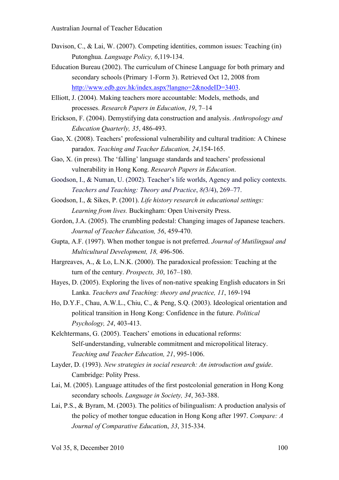- Davison, C., & Lai, W. (2007). Competing identities, common issues: Teaching (in) Putonghua. *Language Policy, 6*,119-134.
- Education Bureau (2002). The curriculum of Chinese Language for both primary and secondary schools (Primary 1-Form 3). Retrieved Oct 12, 2008 from http://www.edb.gov.hk/index.aspx?langno=2&nodeID=3403.
- Elliott, J. (2004). Making teachers more accountable: Models, methods, and processes. *Research Papers in Education*, *19*, 7–14
- Erickson, F. (2004). Demystifying data construction and analysis. *Anthropology and Education Quarterly, 35*, 486-493.
- Gao, X. (2008). Teachers' professional vulnerability and cultural tradition: A Chinese paradox. *Teaching and Teacher Education, 24*,154-165.
- Gao, X. (in press). The 'falling' language standards and teachers' professional vulnerability in Hong Kong. *Research Papers in Education*.
- Goodson, I., & Numan, U. (2002). Teacher's life worlds, Agency and policy contexts. *Teachers and Teaching: Theory and Practice*, *8(*3/4), 269–77.
- Goodson, I., & Sikes, P. (2001). *Life history research in educational settings: Learning from lives.* Buckingham: Open University Press.
- Gordon, J.A. (2005). The crumbling pedestal: Changing images of Japanese teachers. *Journal of Teacher Education, 56*, 459-470.
- Gupta, A.F. (1997). When mother tongue is not preferred. *Journal of Mutilingual and Multicultural Development, 18,* 496-506.
- Hargreaves, A., & Lo, L.N.K. (2000). The paradoxical profession: Teaching at the turn of the century. *Prospects, 30*, 167–180.
- Hayes, D. (2005). Exploring the lives of non-native speaking English educators in Sri Lanka. *Teachers and Teaching: theory and practice, 11*, 169-194
- Ho, D.Y.F., Chau, A.W.L., Chiu, C., & Peng, S.Q. (2003). Ideological orientation and political transition in Hong Kong: Confidence in the future. *Political Psychology, 24*, 403-413.
- Kelchtermans, G. (2005). Teachers' emotions in educational reforms: Self-understanding, vulnerable commitment and micropolitical literacy. *Teaching and Teacher Education, 21*, 995-1006.
- Layder, D. (1993). *New strategies in social research: An introduction and guide*. Cambridge: Polity Press.
- Lai, M. (2005). Language attitudes of the first postcolonial generation in Hong Kong secondary schools. *Language in Society, 34*, 363-388.
- Lai, P.S., & Byram, M. (2003). The politics of bilingualism: A production analysis of the policy of mother tongue education in Hong Kong after 1997. *Compare: A Journal of Comparative Educatio*n, *33*, 315-334.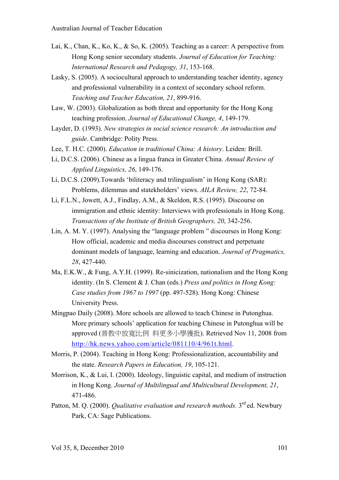- Lai, K., Chan, K., Ko, K., & So, K. (2005). Teaching as a career: A perspective from Hong Kong senior secondary students. *Journal of Education for Teaching: International Research and Pedagogy, 31*, 153-168.
- Lasky, S. (2005). A sociocultural approach to understanding teacher identity, agency and professional vulnerability in a context of secondary school reform. *Teaching and Teacher Education, 21*, 899-916.
- Law, W. (2003). Globalization as both threat and opportunity for the Hong Kong teaching profession. *Journal of Educational Change, 4*, 149-179.
- Layder, D. (1993). *New strategies in social science research: An introduction and guide*. Cambridge: Polity Press.
- Lee, T. H.C. (2000). *Education in traditional China: A history*. Leiden: Brill.
- Li, D.C.S. (2006). Chinese as a lingua franca in Greater China. *Annual Review of Applied Linguistics, 26*, 149-176.
- Li, D.C.S. (2009).Towards 'biliteracy and trilingualism' in Hong Kong (SAR): Problems, dilemmas and statekholders' views. *AILA Review, 22*, 72-84.
- Li, F.L.N., Jowett, A.J., Findlay, A.M., & Skeldon, R.S. (1995). Discourse on immigration and ethnic identity: Interviews with professionals in Hong Kong. *Transactions of the Institute of British Geographers, 20*, 342-256.
- Lin, A. M. Y. (1997). Analysing the "language problem " discourses in Hong Kong: How official, academic and media discourses construct and perpetuate dominant models of language, learning and education. *Journal of Pragmatics, 28*, 427-440.
- Ma, E.K.W., & Fung, A.Y.H. (1999). Re-sinicization, nationalism and the Hong Kong identity. (In S. Clement & J. Chan (eds.) *Press and politics in Hong Kong: Case studies from 1967 to 1997* (pp. 497-528). Hong Kong: Chinese University Press.
- Mingpao Daily (2008). More schools are allowed to teach Chinese in Putonghua. More primary schools' application for teaching Chinese in Putonghua will be approved (普教中放寬比例 料更多小學獲批). Retrieved Nov 11, 2008 from http://hk.news.yahoo.com/article/081110/4/961t.html.
- Morris, P. (2004). Teaching in Hong Kong: Professionalization, accountability and the state. *Research Papers in Education, 19*, 105-121.
- Morrison, K., & Lui, I. (2000). Ideology, linguistic capital, and medium of instruction in Hong Kong. *Journal of Multilingual and Multicultural Development, 21*, 471-486.
- Patton, M. Q. (2000). *Qualitative evaluation and research methods*. 3<sup>rd</sup> ed. Newbury Park, CA: Sage Publications.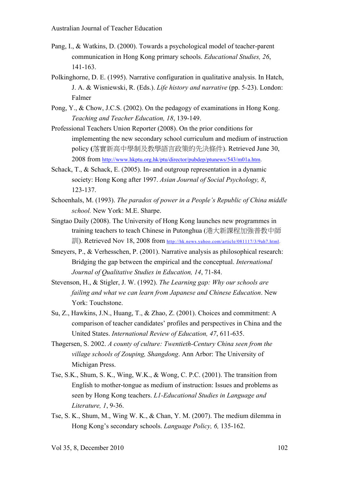- Pang, I., & Watkins, D. (2000). Towards a psychological model of teacher-parent communication in Hong Kong primary schools. *Educational Studies, 26*, 141-163.
- Polkinghorne, D. E. (1995). Narrative configuration in qualitative analysis. In Hatch, J. A. & Wisniewski, R. (Eds.). *Life history and narrative* (pp. 5-23). London: Falmer
- Pong, Y., & Chow, J.C.S. (2002). On the pedagogy of examinations in Hong Kong. *Teaching and Teacher Education, 18*, 139-149.
- Professional Teachers Union Reporter (2008). On the prior conditions for implementing the new secondary school curriculum and medium of instruction policy **(**落實新高中學制及教學語言政策的先決條件). Retrieved June 30, 2008 from http://www.hkptu.org.hk/ptu/director/pubdep/ptunews/543/m01a.htm.
- Schack, T., & Schack, E. (2005). In- and outgroup representation in a dynamic society: Hong Kong after 1997. *Asian Journal of Social Psychology, 8*, 123-137.
- Schoenhals, M. (1993). *The paradox of power in a People's Republic of China middle school.* New York: M.E. Sharpe.
- Singtao Daily (2008). The University of Hong Kong launches new programmes in training teachers to teach Chinese in Putonghua (港大新課程加強普教中師 訓). Retrieved Nov 18, 2008 from http://hk.news.yahoo.com/article/081117/3/9ah7.html.
- Smeyers, P., & Verhesschen, P. (2001). Narrative analysis as philosophical research: Bridging the gap between the empirical and the conceptual. *International Journal of Qualitative Studies in Education, 14*, 71-84.
- Stevenson, H., & Stigler, J. W. (1992). *The Learning gap: Why our schools are failing and what we can learn from Japanese and Chinese Education*. New York: Touchstone.
- Su, Z., Hawkins, J.N., Huang, T., & Zhao, Z. (2001). Choices and commitment: A comparison of teacher candidates' profiles and perspectives in China and the United States. *International Review of Education, 47*, 611-635.
- Thøgersen, S. 2002. *A county of culture: Twentieth-Century China seen from the village schools of Zouping, Shangdong*. Ann Arbor: The University of Michigan Press.
- Tse, S.K., Shum, S. K., Wing, W.K., & Wong, C. P.C. (2001). The transition from English to mother-tongue as medium of instruction: Issues and problems as seen by Hong Kong teachers. *L1-Educational Studies in Language and Literature, 1*, 9-36.
- Tse, S. K., Shum, M., Wing W. K., & Chan, Y. M. (2007). The medium dilemma in Hong Kong's secondary schools. *Language Policy, 6,* 135-162.